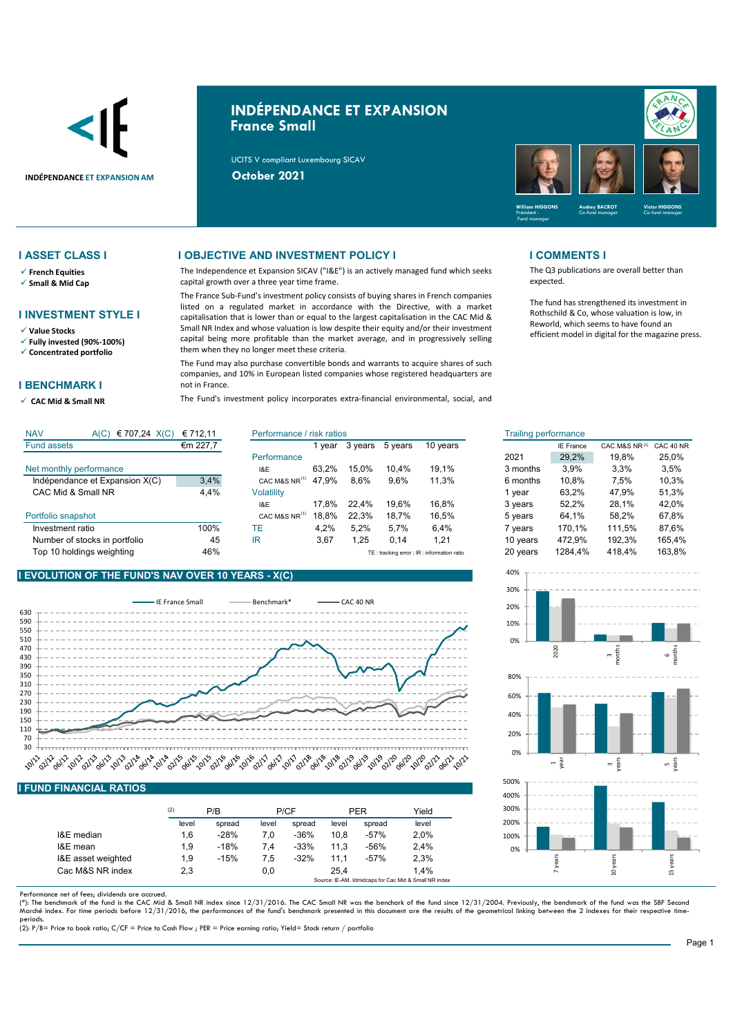

# **INDÉPENDANCE ET EXPANSION France Small**

UCITS V compliant Luxembourg SICAV



- **French Equities**
- **Small & Mid Cap**

### **I INVESTMENT STYLE I**

**Value Stocks**

**Fully invested (90%-100%)**

**Concentrated portfolio**

### **I BENCHMARK I**

**CAC Mid & Small NR** 

### **I ASSET CLASS I I OBJECTIVE AND INVESTMENT POLICY I I COMMENTS I**

The Independence et Expansion SICAV ("I&E") is an actively managed fund which seeks capital growth over a three year time frame.

The France Sub-Fund's investment policy consists of buying shares in French companies listed on a regulated market in accordance with the Directive, with a market capitalisation that is lower than or equal to the largest capitalisation in the CAC Mid & Small NR Index and whose valuation is low despite their equity and/or their investment capital being more profitable than the market average, and in progressively selling them when they no longer meet these criteria.

The Fund may also purchase convertible bonds and warrants to acquire shares of such companies, and 10% in European listed companies whose registered headquarters are not in France.

The Fund's investment policy incorporates extra-financial environmental, social, and

The Q3 publications are overall better than expected.

The fund has strengthened its investment in Rothschild & Co, whose valuation is low, in Reworld, which seems to have found an efficient model in digital for the magazine press.

| <b>NAV</b><br>€ 707,24 $X(C)$<br>A(C) | € 712.11 | Performance / risk ratios |       |         | <b>Trailing performance</b> |                                            |                    |                  |               |           |
|---------------------------------------|----------|---------------------------|-------|---------|-----------------------------|--------------------------------------------|--------------------|------------------|---------------|-----------|
| <b>Fund assets</b>                    | €m 227,7 |                           | vear  | 3 years | 5 years                     | 10 years                                   |                    | <b>IE France</b> | CAC M&S NR(1) | CAC 40 NF |
|                                       |          | Performance               |       |         |                             |                                            | 2021               | 29.2%            | 19.8%         | 25.0%     |
| Net monthly performance               |          | I&E                       | 63.2% | 15.0%   | 10.4%                       | 19.1%                                      | 3 months           | 3.9%             | 3,3%          | 3,5%      |
| Indépendance et Expansion X(C)        | 3,4%     | CAC M&S NR <sup>(1)</sup> | 47.9% | 8,6%    | 9,6%                        | 11.3%                                      | 6 months           | 10.8%            | 7,5%          | 10,3%     |
| CAC Mid & Small NR                    | 4.4%     | <b>Volatility</b>         |       |         |                             |                                            | 1 vear             | 63.2%            | 47.9%         | 51.3%     |
|                                       |          | I&E                       | 17.8% | 22.4%   | 19.6%                       | 16.8%                                      | 3 years            | 52.2%            | 28.1%         | 42.0%     |
| Portfolio snapshot                    |          | CAC M&S NR <sup>(1)</sup> | 18.8% | 22.3%   | 18.7%                       | 16.5%                                      | 5 years            | 64.1%            | 58.2%         | 67.8%     |
| Investment ratio                      | 100%     | TE                        | 4.2%  | 5.2%    | 5.7%                        | 6.4%                                       | <sup>7</sup> vears | 170.1%           | 111.5%        | 87.6%     |
| Number of stocks in portfolio         | 45       | IR                        | 3,67  | .25     | 0,14                        | 1.21                                       | 10 vears           | 472.9%           | 192.3%        | 165,4%    |
| Top 10 holdings weighting             | 46%      |                           |       |         |                             | TE: tracking error ; IR: information ratio | 20 years           | 1284,4%          | 418.4%        | 163,8%    |

## **I EVOLUTION OF THE FUND'S NAV OVER 10 YEARS - X(C)**



### **I FUND FINANCIAL RATIOS**

|                    | (2)   | P/B    |       | P/CF   |       | <b>PER</b> | Yield |
|--------------------|-------|--------|-------|--------|-------|------------|-------|
|                    | level | spread | level | spread | level | spread     | level |
| I&E median         | 1,6   | $-28%$ | 7.0   | $-36%$ | 10.8  | $-57%$     | 2.0%  |
| I&E mean           | 1.9   | $-18%$ | 7.4   | $-33%$ | 11.3  | $-56%$     | 2,4%  |
| I&E asset weighted | 1.9   | $-15%$ | 7.5   | $-32%$ | 11.1  | $-57%$     | 2,3%  |
| Cac M&S NR index   | 2,3   |        | 0,0   |        | 25.4  |            | 1.4%  |

Performance net of fees; dividends are accrued.

(\*): The benchmark of the fund is the CAC Mid & Small NR index since 12/31/2016. The CAC Small NR was the benchark of the fund since 12/31/2004. Previously, the benchmark of the fund was the SBF Second<br>Marché index. For ti periods.

(2): P/B= Price to book ratio; C/CF = Price to Cash Flow ; PER = Price earning ratio; Yield= Stock return / portfolio

| isk ratios |         |         |          | <b>Trailing performance</b> |                  |               |           |
|------------|---------|---------|----------|-----------------------------|------------------|---------------|-----------|
| 1 year     | 3 years | 5 years | 10 years |                             | <b>IE France</b> | CAC M&S NR(1) | CAC 40 NR |
|            |         |         |          | 2021                        | 29,2%            | 19.8%         | 25,0%     |
| 63,2%      | 15.0%   | 10.4%   | 19,1%    | 3 months                    | 3.9%             | 3,3%          | 3,5%      |
| 47.9%      | 8.6%    | 9.6%    | 11.3%    | 6 months                    | 10.8%            | 7.5%          | 10,3%     |
|            |         |         |          | 1 year                      | 63.2%            | 47.9%         | 51.3%     |
| 17.8%      | 22.4%   | 19.6%   | 16.8%    | 3 years                     | 52,2%            | 28,1%         | 42,0%     |
| 18,8%      | 22.3%   | 18.7%   | 16,5%    | 5 years                     | 64.1%            | 58.2%         | 67,8%     |
| 4,2%       | 5.2%    | 5.7%    | 6.4%     | 7 years                     | 170.1%           | 111.5%        | 87.6%     |
| 3,67       | 1,25    | 0,14    | 1,21     | 10 years                    | 472.9%           | 192,3%        | 165,4%    |
|            |         |         |          |                             |                  |               |           |